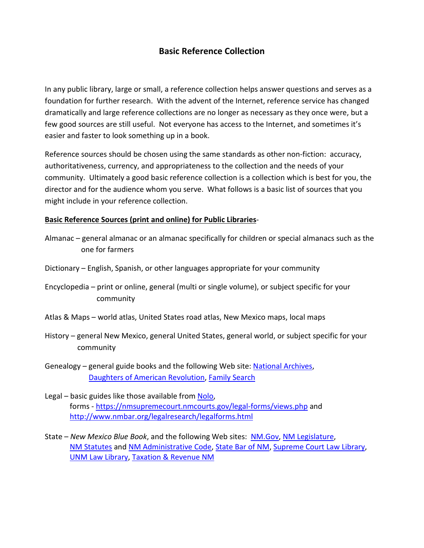## **Basic Reference Collection**

In any public library, large or small, a reference collection helps answer questions and serves as a foundation for further research. With the advent of the Internet, reference service has changed dramatically and large reference collections are no longer as necessary as they once were, but a few good sources are still useful. Not everyone has access to the Internet, and sometimes it's easier and faster to look something up in a book.

Reference sources should be chosen using the same standards as other non-fiction: accuracy, authoritativeness, currency, and appropriateness to the collection and the needs of your community. Ultimately a good basic reference collection is a collection which is best for you, the director and for the audience whom you serve. What follows is a basic list of sources that you might include in your reference collection.

## **Basic Reference Sources (print and online) for Public Libraries**-

- Almanac general almanac or an almanac specifically for children or special almanacs such as the one for farmers
- Dictionary English, Spanish, or other languages appropriate for your community
- Encyclopedia print or online, general (multi or single volume), or subject specific for your community
- Atlas & Maps world atlas, United States road atlas, New Mexico maps, local maps
- History general New Mexico, general United States, general world, or subject specific for your community
- Genealogy general guide books and the following Web site: [National Archives,](http://www.archives.gov/) [Daughters of American Revolution,](http://www.dar.org/) [Family Search](https://familysearch.org/)
- Legal basic guides like those available from [Nolo,](http://www.nolo.com/) forms - <https://nmsupremecourt.nmcourts.gov/legal-forms/views.php> and <http://www.nmbar.org/legalresearch/legalforms.html>
- State *New Mexico Blue Book*, and the following Web sites: [NM.Gov,](http://www.newmexico.gov/) [NM Legislature,](http://www.nmlegis.gov/lcs/) [NM Statutes](http://public.nmcompcomm.us/nmpublic/gateway.dll/?f=templates&fn=default.htm) and [NM Administrative Code,](http://164.64.110.239/nmac/) [State Bar](http://www.nmbar.org/) of NM, [Supreme Court Law Library,](http://www.supremecourtlawlibrary.org/) [UNM Law Library,](http://lawlibrary.unm.edu/) [Taxation & Revenue NM](http://www.tax.newmexico.gov/)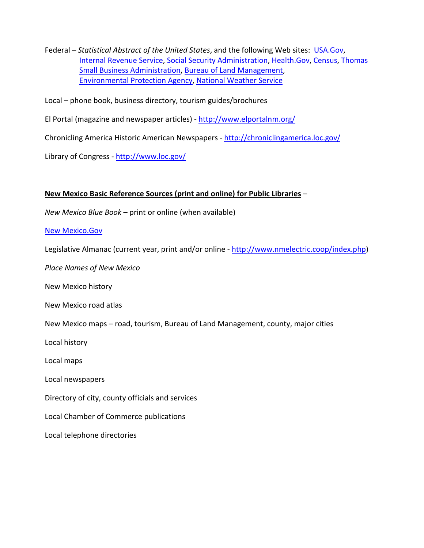Federal – *Statistical Abstract of the United States*, and the following Web sites: USA.Gov, [Internal Revenue](http://www.irs.gov/) Service, Social Security [Administration,](http://www.ssa.gov/) [Health.Gov,](http://www.health.gov/) [Census,](http://www.census.gov/) [Thomas](http://thomas.loc.gov/home/thomas.php) [Small Business Administration,](http://www.sba.gov/) [Bureau of Land Management,](http://www.blm.gov/nm/st/en.html) [Environmental Protection Agency,](http://www.epa.gov/) [National Weather Service](http://www.weather.gov/)

Local – phone book, business directory, tourism guides/brochures

El Portal (magazine and newspaper articles) - <http://www.elportalnm.org/>

Chronicling America Historic American Newspapers - <http://chroniclingamerica.loc.gov/>

Library of Congress - <http://www.loc.gov/>

## **New Mexico Basic Reference Sources (print and online) for Public Libraries** –

*New Mexico Blue Book* – print or online (when available)

## [New Mexico.Gov](http://www.newmexico.gov/)

Legislative Almanac (current year, print and/or online - [http://www.nmelectric.coop/index.php\)](http://www.nmelectric.coop/index.php)

*Place Names of New Mexico*

New Mexico history

New Mexico road atlas

New Mexico maps – road, tourism, Bureau of Land Management, county, major cities

Local history

Local maps

Local newspapers

Directory of city, county officials and services

Local Chamber of Commerce publications

Local telephone directories